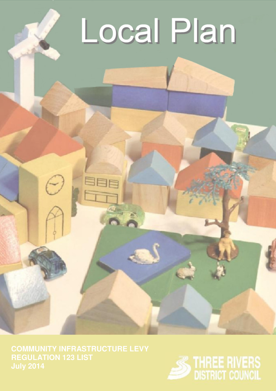## Local Plan